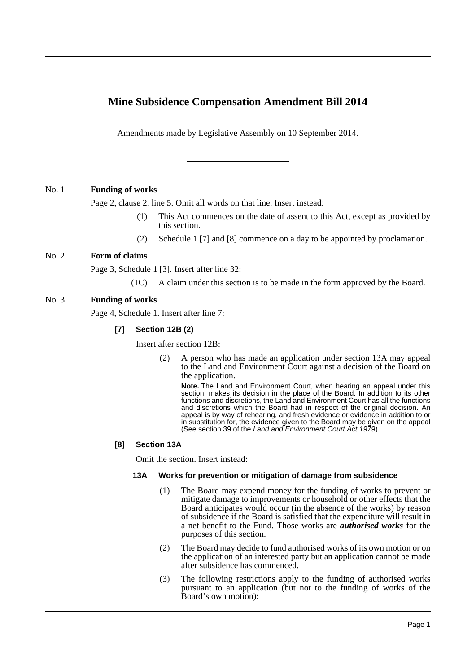# **Mine Subsidence Compensation Amendment Bill 2014**

Amendments made by Legislative Assembly on 10 September 2014.

# No. 1 **Funding of works**

Page 2, clause 2, line 5. Omit all words on that line. Insert instead:

- (1) This Act commences on the date of assent to this Act, except as provided by this section.
- (2) Schedule 1 [7] and [8] commence on a day to be appointed by proclamation.

# No. 2 **Form of claims**

Page 3, Schedule 1 [3]. Insert after line 32:

(1C) A claim under this section is to be made in the form approved by the Board.

# No. 3 **Funding of works**

Page 4, Schedule 1. Insert after line 7:

# **[7] Section 12B (2)**

Insert after section 12B:

(2) A person who has made an application under section 13A may appeal to the Land and Environment Court against a decision of the Board on the application.

**Note.** The Land and Environment Court, when hearing an appeal under this section, makes its decision in the place of the Board. In addition to its other functions and discretions, the Land and Environment Court has all the functions and discretions which the Board had in respect of the original decision. An appeal is by way of rehearing, and fresh evidence or evidence in addition to or in substitution for, the evidence given to the Board may be given on the appeal (See section 39 of the *Land and Environment Court Act 1979*).

## **[8] Section 13A**

Omit the section. Insert instead:

## **13A Works for prevention or mitigation of damage from subsidence**

- (1) The Board may expend money for the funding of works to prevent or mitigate damage to improvements or household or other effects that the Board anticipates would occur (in the absence of the works) by reason of subsidence if the Board is satisfied that the expenditure will result in a net benefit to the Fund. Those works are *authorised works* for the purposes of this section.
- (2) The Board may decide to fund authorised works of its own motion or on the application of an interested party but an application cannot be made after subsidence has commenced.
- (3) The following restrictions apply to the funding of authorised works pursuant to an application (but not to the funding of works of the Board's own motion):